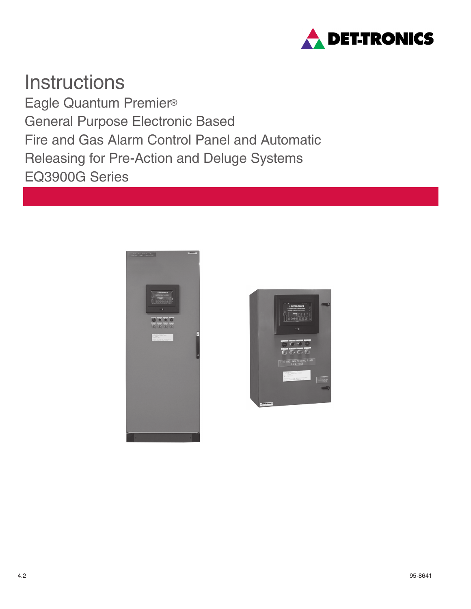

**Instructions** Eagle Quantum Premier® General Purpose Electronic Based Fire and Gas Alarm Control Panel and Automatic Releasing for Pre-Action and Deluge Systems EQ3900G Series



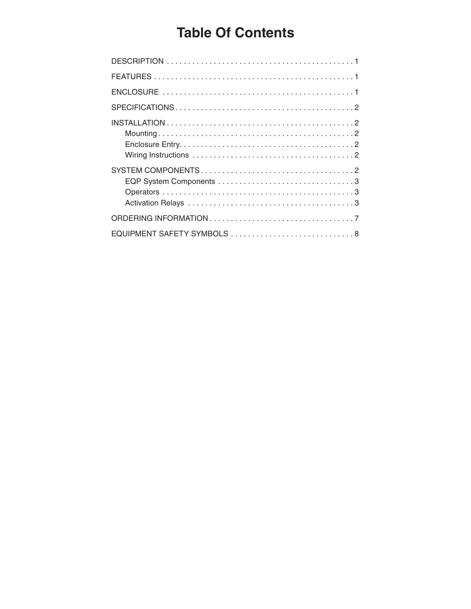# **Table Of Contents**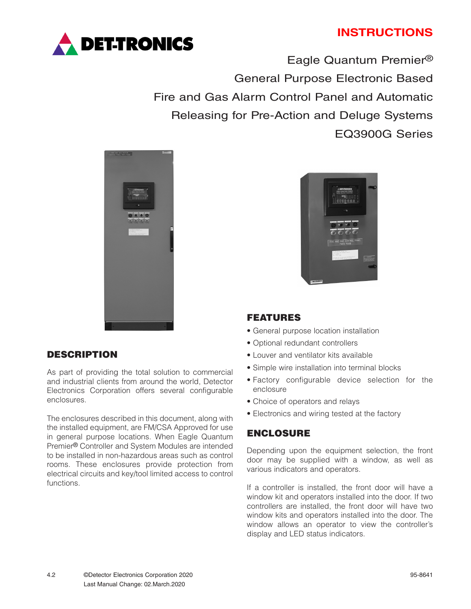# **INSTRUCTIONS**



Eagle Quantum Premier® General Purpose Electronic Based Fire and Gas Alarm Control Panel and Automatic Releasing for Pre-Action and Deluge Systems EQ3900G Series



## DESCRIPTION

As part of providing the total solution to commercial and industrial clients from around the world, Detector Electronics Corporation offers several configurable enclosures.

The enclosures described in this document, along with the installed equipment, are FM/CSA Approved for use in general purpose locations. When Eagle Quantum Premier® Controller and System Modules are intended to be installed in non-hazardous areas such as control rooms. These enclosures provide protection from electrical circuits and key/tool limited access to control functions.



## FEATURES

- General purpose location installation
- Optional redundant controllers
- Louver and ventilator kits available
- Simple wire installation into terminal blocks
- Factory configurable device selection for the enclosure
- Choice of operators and relays
- Electronics and wiring tested at the factory

### ENCLOSURE

Depending upon the equipment selection, the front door may be supplied with a window, as well as various indicators and operators.

If a controller is installed, the front door will have a window kit and operators installed into the door. If two controllers are installed, the front door will have two window kits and operators installed into the door. The window allows an operator to view the controller's display and LED status indicators.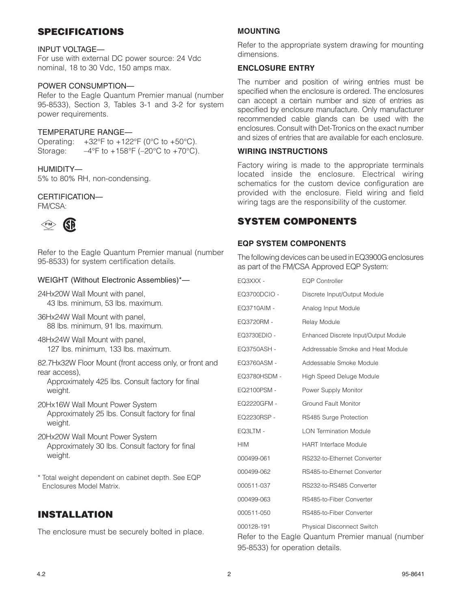## SPECIFICATIONS

#### INPUT VOLTAGE—

For use with external DC power source: 24 Vdc nominal, 18 to 30 Vdc, 150 amps max.

#### POWER CONSUMPTION—

Refer to the Eagle Quantum Premier manual (number 95-8533), Section 3, Tables 3-1 and 3-2 for system power requirements.

#### TEMPERATURE RANGE—

Operating:  $+32^{\circ}$ F to  $+122^{\circ}$ F (0 $^{\circ}$ C to  $+50^{\circ}$ C). Storage:  $-4^{\circ}$ F to  $+158^{\circ}$ F ( $-20^{\circ}$ C to  $+70^{\circ}$ C).

HUMIDITY— 5% to 80% RH, non-condensing.

# CERTIFICATION—

FM/CSA:



Refer to the Eagle Quantum Premier manual (number 95-8533) for system certification details.

#### WEIGHT (Without Electronic Assemblies)\*—

24Hx20W Wall Mount with panel, 43 lbs. minimum, 53 lbs. maximum.

- 36Hx24W Wall Mount with panel, 88 lbs. minimum, 91 lbs. maximum.
- 48Hx24W Wall Mount with panel, 127 lbs. minimum, 133 lbs. maximum.

82.7Hx32W Floor Mount (front access only, or front and rear access),

Approximately 425 lbs. Consult factory for final weight.

- 20Hx16W Wall Mount Power System Approximately 25 lbs. Consult factory for final weight.
- 20Hx20W Wall Mount Power System Approximately 30 lbs. Consult factory for final weight.
- \* Total weight dependent on cabinet depth. See EQP Enclosures Model Matrix.

## INSTALLATION

The enclosure must be securely bolted in place.

### **MOUNTING**

Refer to the appropriate system drawing for mounting dimensions.

#### **ENCLOSURE ENTRY**

The number and position of wiring entries must be specified when the enclosure is ordered. The enclosures can accept a certain number and size of entries as specified by enclosure manufacture. Only manufacturer recommended cable glands can be used with the enclosures. Consult with Det-Tronics on the exact number and sizes of entries that are available for each enclosure.

#### **WIRING INSTRUCTIONS**

Factory wiring is made to the appropriate terminals located inside the enclosure. Electrical wiring schematics for the custom device configuration are provided with the enclosure. Field wiring and field wiring tags are the responsibility of the customer.

## SYSTEM COMPONENTS

#### **EQP SYSTEM COMPONENTS**

The following devices can be used in EQ3900G enclosures as part of the FM/CSA Approved EQP System:

| EQ3XXX -     | <b>EQP Controller</b>                 |
|--------------|---------------------------------------|
| EQ3700DCIO - | Discrete Input/Output Module          |
| EQ3710AIM -  | Analog Input Module                   |
| EQ3720RM -   | Relay Module                          |
| EQ3730EDIO - | Enhanced Discrete Input/Output Module |
| EQ3750ASH -  | Addressable Smoke and Heat Module     |
| EQ3760ASM -  | Addessable Smoke Module               |
| EQ3780HSDM - | High Speed Deluge Module              |
| EQ2100PSM -  | Power Supply Monitor                  |
| EQ2220GFM -  | <b>Ground Fault Monitor</b>           |
| EQ2230RSP -  | RS485 Surge Protection                |
| EQ3LTM -     | <b>LON Termination Module</b>         |
| <b>HIM</b>   | <b>HART</b> Interface Module          |
| 000499-061   | RS232-to-Ethernet Converter           |
| 000499-062   | RS485-to-Ethernet Converter           |
| 000511-037   | RS232-to-RS485 Converter              |
| 000499-063   | RS485-to-Fiber Converter              |
| 000511-050   | RS485-to-Fiber Converter              |
| 000128-191   | <b>Physical Disconnect Switch</b>     |

Refer to the Eagle Quantum Premier manual (number 95-8533) for operation details.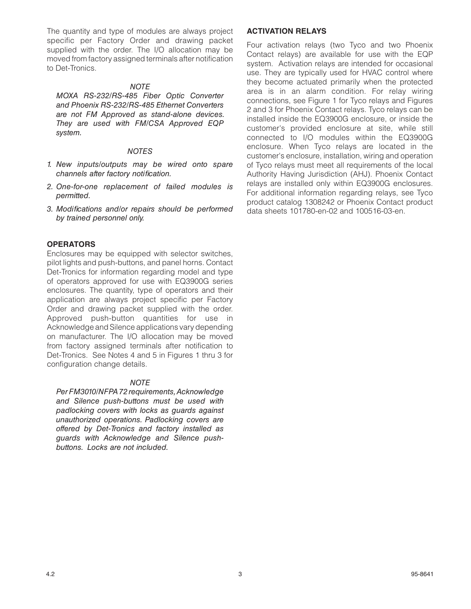The quantity and type of modules are always project specific per Factory Order and drawing packet supplied with the order. The I/O allocation may be moved from factory assigned terminals after notification to Det-Tronics.

#### *NOTE*

*MOXA RS-232/RS-485 Fiber Optic Converter and Phoenix RS-232/RS-485 Ethernet Converters are not FM Approved as stand-alone devices. They are used with FM/CSA Approved EQP system.*

#### *NOTES*

- *1. New inputs/outputs may be wired onto spare channels after factory notification.*
- *2. One-for-one replacement of failed modules is permitted.*
- *3. Modifications and/or repairs should be performed by trained personnel only.*

#### **OPERATORS**

Enclosures may be equipped with selector switches, pilot lights and push-buttons, and panel horns. Contact Det-Tronics for information regarding model and type of operators approved for use with EQ3900G series enclosures. The quantity, type of operators and their application are always project specific per Factory Order and drawing packet supplied with the order. Approved push-button quantities for use in Acknowledge and Silence applications vary depending on manufacturer. The I/O allocation may be moved from factory assigned terminals after notification to Det-Tronics. See Notes 4 and 5 in Figures 1 thru 3 for configuration change details.

#### *NOTE*

*Per FM3010/NFPA 72 requirements, Acknowledge and Silence push-buttons must be used with padlocking covers with locks as guards against unauthorized operations. Padlocking covers are offered by Det-Tronics and factory installed as guards with Acknowledge and Silence pushbuttons. Locks are not included.*

### **ACTIVATION RELAYS**

Four activation relays (two Tyco and two Phoenix Contact relays) are available for use with the EQP system. Activation relays are intended for occasional use. They are typically used for HVAC control where they become actuated primarily when the protected area is in an alarm condition. For relay wiring connections, see Figure 1 for Tyco relays and Figures 2 and 3 for Phoenix Contact relays. Tyco relays can be installed inside the EQ3900G enclosure, or inside the customer's provided enclosure at site, while still connected to I/O modules within the EQ3900G enclosure. When Tyco relays are located in the customer's enclosure, installation, wiring and operation of Tyco relays must meet all requirements of the local Authority Having Jurisdiction (AHJ). Phoenix Contact relays are installed only within EQ3900G enclosures. For additional information regarding relays, see Tyco product catalog 1308242 or Phoenix Contact product data sheets 101780-en-02 and 100516-03-en.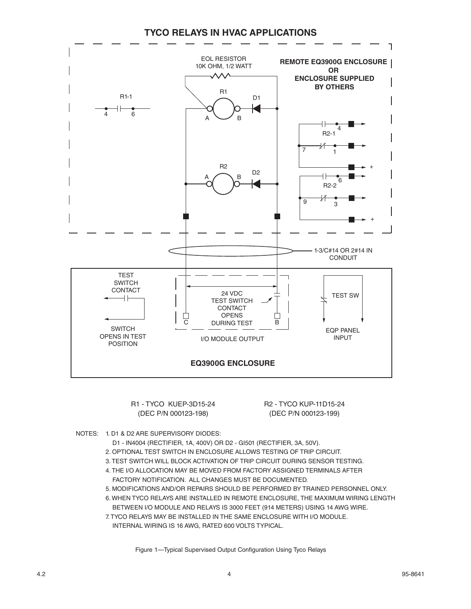### **TYCO RELAYS IN HVAC APPLICATIONS**



 R1 - TYCO KUEP-3D15-24 R2 - TYCO KUP-11D15-24 (DEC P/N 000123-198) (DEC P/N 000123-199)

- NOTES: 1. D1 & D2 ARE SUPERVISORY DIODES:
	- D1 IN4004 (RECTIFIER, 1A, 400V) OR D2 GI501 (RECTIFIER, 3A, 50V).
	- 2. OPTIONAL TEST SWITCH IN ENCLOSURE ALLOWS TESTING OF TRIP CIRCUIT.
	- 3. TEST SWITCH WILL BLOCK ACTIVATION OF TRIP CIRCUIT DURING SENSOR TESTING.
	- 4. THE I/O ALLOCATION MAY BE MOVED FROM FACTORY ASSIGNED TERMINALS AFTER FACTORY NOTIFICATION. ALL CHANGES MUST BE DOCUMENTED.
	- 5. MODIFICATIONS AND/OR REPAIRS SHOULD BE PERFORMED BY TRAINED PERSONNEL ONLY.
	- 6. WHEN TYCO RELAYS ARE INSTALLED IN REMOTE ENCLOSURE, THE MAXIMUM WIRING LENGTH BETWEEN I/O MODULE AND RELAYS IS 3000 FEET (914 METERS) USING 14 AWG WIRE.
	- 7. TYCO RELAYS MAY BE INSTALLED IN THE SAME ENCLOSURE WITH I/O MODULE.
	- INTERNAL WIRING IS 16 AWG, RATED 600 VOLTS TYPICAL.

Figure 1—Typical Supervised Output Configuration Using Tyco Relays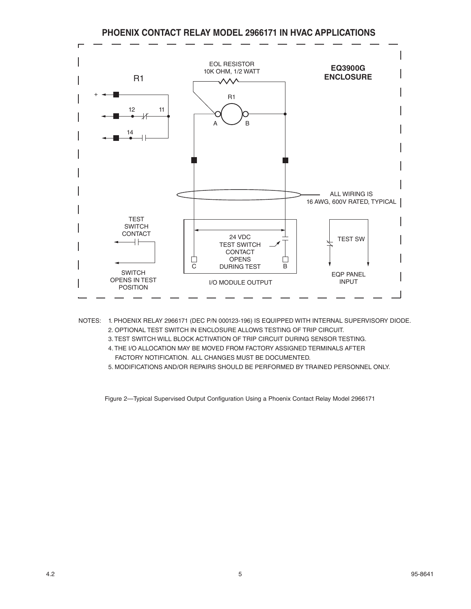### **PHOENIX CONTACT RELAY MODEL 2966171 IN HVAC APPLICATIONS**



- NOTES: 1. PHOENIX RELAY 2966171 (DEC P/N 000123-196) IS EQUIPPED WITH INTERNAL SUPERVISORY DIODE. 2. OPTIONAL TEST SWITCH IN ENCLOSURE ALLOWS TESTING OF TRIP CIRCUIT.
	- 3. TEST SWITCH WILL BLOCK ACTIVATION OF TRIP CIRCUIT DURING SENSOR TESTING.
	- 4. THE I/O ALLOCATION MAY BE MOVED FROM FACTORY ASSIGNED TERMINALS AFTER FACTORY NOTIFICATION. ALL CHANGES MUST BE DOCUMENTED.
	- 5. MODIFICATIONS AND/OR REPAIRS SHOULD BE PERFORMED BY TRAINED PERSONNEL ONLY.

Figure 2—Typical Supervised Output Configuration Using a Phoenix Contact Relay Model 2966171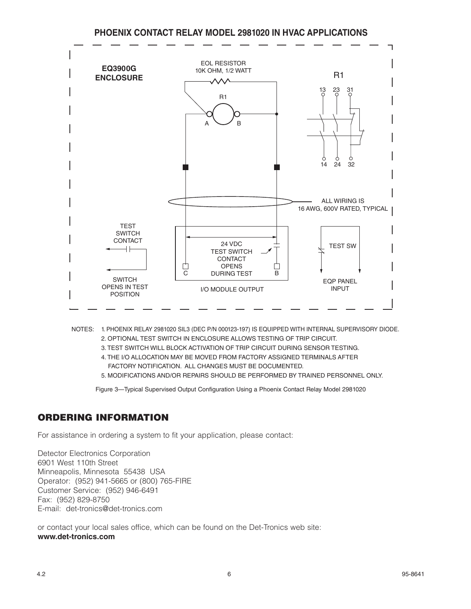**PHOENIX CONTACT RELAY MODEL 2981020 IN HVAC APPLICATIONS**



- NOTES: 1. PHOENIX RELAY 2981020 SIL3 (DEC P/N 000123-197) IS EQUIPPED WITH INTERNAL SUPERVISORY DIODE. 2. OPTIONAL TEST SWITCH IN ENCLOSURE ALLOWS TESTING OF TRIP CIRCUIT.
	- 3. TEST SWITCH WILL BLOCK ACTIVATION OF TRIP CIRCUIT DURING SENSOR TESTING.
	- 4. THE I/O ALLOCATION MAY BE MOVED FROM FACTORY ASSIGNED TERMINALS AFTER FACTORY NOTIFICATION. ALL CHANGES MUST BE DOCUMENTED.
	- 5. MODIFICATIONS AND/OR REPAIRS SHOULD BE PERFORMED BY TRAINED PERSONNEL ONLY.

Figure 3—Typical Supervised Output Configuration Using a Phoenix Contact Relay Model 2981020

## ORDERING INFORMATION

For assistance in ordering a system to fit your application, please contact:

Detector Electronics Corporation 6901 West 110th Street Minneapolis, Minnesota 55438 USA Operator: (952) 941-5665 or (800) 765-FIRE Customer Service: (952) 946-6491 Fax: (952) 829-8750 E-mail: det-tronics@det-tronics.com

or contact your local sales office, which can be found on the Det-Tronics web site: **www.det-tronics.com**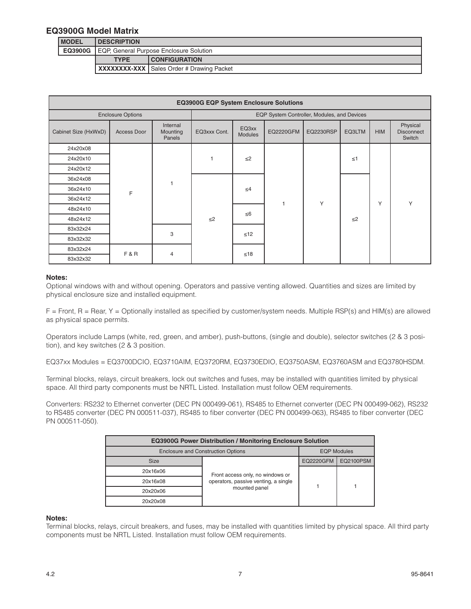#### **EQ3900G Model Matrix**

| <b>MODEL</b>   | <b>IDESCRIPTION</b>                     |                                                   |  |
|----------------|-----------------------------------------|---------------------------------------------------|--|
| <b>EQ3900G</b> | EQP, General Purpose Enclosure Solution |                                                   |  |
|                | <b>TYPE</b>                             | <b>CONFIGURATION</b>                              |  |
|                |                                         | <b>XXXXXXX-XXX   Sales Order # Drawing Packet</b> |  |

| <b>EQ3900G EQP System Enclosure Solutions</b> |                     |                                |                                             |                         |                  |           |          |            |                                         |
|-----------------------------------------------|---------------------|--------------------------------|---------------------------------------------|-------------------------|------------------|-----------|----------|------------|-----------------------------------------|
| <b>Enclosure Options</b>                      |                     |                                | EQP System Controller, Modules, and Devices |                         |                  |           |          |            |                                         |
| Cabinet Size (HxWxD)                          | Access Door         | Internal<br>Mounting<br>Panels | EQ3xxx Cont.                                | EQ3xx<br><b>Modules</b> | <b>EQ2220GFM</b> | EQ2230RSP | EQ3LTM   | <b>HIM</b> | Physical<br><b>Disconnect</b><br>Switch |
| 24x20x08                                      |                     | F                              |                                             | $\leq$ 2                |                  | Y         | $\leq 1$ |            |                                         |
| 24x20x10                                      |                     |                                |                                             |                         |                  |           |          |            |                                         |
| 24x20x12                                      |                     |                                |                                             |                         |                  |           |          |            |                                         |
| 36x24x08                                      |                     |                                | $\leq$ 2                                    | $\leq 4$<br>$\leq 6$    |                  |           | $\leq$ 2 |            |                                         |
| 36x24x10                                      | 3<br><b>F&amp;R</b> |                                |                                             |                         |                  |           |          | Υ          | Y                                       |
| 36x24x12                                      |                     |                                |                                             |                         |                  |           |          |            |                                         |
| 48x24x10                                      |                     |                                |                                             |                         |                  |           |          |            |                                         |
| 48x24x12                                      |                     |                                |                                             |                         |                  |           |          |            |                                         |
| 83x32x24                                      |                     |                                |                                             | $\leq 12$               |                  |           |          |            |                                         |
| 83x32x32                                      |                     |                                |                                             |                         |                  |           |          |            |                                         |
| 83x32x24                                      |                     |                                | ≤18                                         |                         |                  |           |          |            |                                         |
| 83x32x32                                      |                     | $\overline{4}$                 |                                             |                         |                  |           |          |            |                                         |

#### **Notes:**

Optional windows with and without opening. Operators and passive venting allowed. Quantities and sizes are limited by physical enclosure size and installed equipment.

F = Front, R = Rear, Y = Optionally installed as specified by customer/system needs. Multiple RSP(s) and HIM(s) are allowed as physical space permits.

Operators include Lamps (white, red, green, and amber), push-buttons, (single and double), selector switches (2 & 3 position), and key switches (2 & 3 position.

EQ37xx Modules = EQ3700DCIO, EQ3710AIM, EQ3720RM, EQ3730EDIO, EQ3750ASM, EQ3760ASM and EQ3780HSDM.

Terminal blocks, relays, circuit breakers, lock out switches and fuses, may be installed with quantities limited by physical space. All third party components must be NRTL Listed. Installation must follow OEM requirements.

Converters: RS232 to Ethernet converter (DEC PN 000499-061), RS485 to Ethernet converter (DEC PN 000499-062), RS232 to RS485 converter (DEC PN 000511-037), RS485 to fiber converter (DEC PN 000499-063), RS485 to fiber converter (DEC PN 000511-050).

| <b>EQ3900G Power Distribution / Monitoring Enclosure Solution</b> |                                      |                    |                  |  |  |
|-------------------------------------------------------------------|--------------------------------------|--------------------|------------------|--|--|
| <b>Enclosure and Construction Options</b>                         |                                      | <b>EQP Modules</b> |                  |  |  |
| <b>Size</b>                                                       |                                      | <b>EQ2220GFM</b>   | <b>EQ2100PSM</b> |  |  |
| 20x16x06                                                          | Front access only, no windows or     |                    |                  |  |  |
| 20x16x08                                                          | operators, passive venting, a single |                    |                  |  |  |
| 20x20x06                                                          | mounted panel                        |                    |                  |  |  |
| 20x20x08                                                          |                                      |                    |                  |  |  |

#### **Notes:**

Terminal blocks, relays, circuit breakers, and fuses, may be installed with quantities limited by physical space. All third party components must be NRTL Listed. Installation must follow OEM requirements.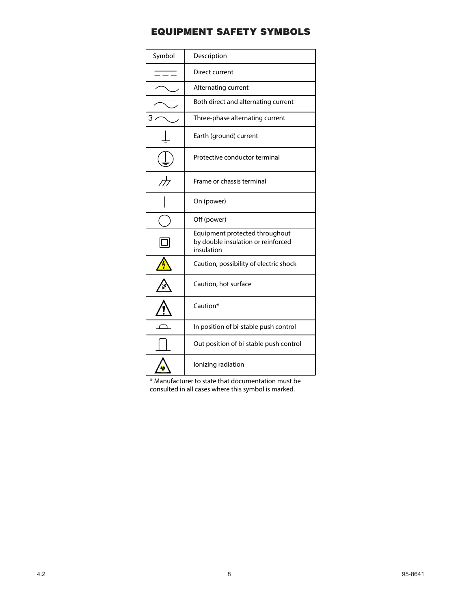## EQUIPMENT SAFETY SYMBOLS

| Symbol                   | Description                                                                        |
|--------------------------|------------------------------------------------------------------------------------|
|                          | Direct current                                                                     |
|                          | Alternating current                                                                |
|                          | Both direct and alternating current                                                |
| З                        | Three-phase alternating current                                                    |
|                          | Earth (ground) current                                                             |
|                          | Protective conductor terminal                                                      |
| $\overline{\mathcal{A}}$ | Frame or chassis terminal                                                          |
|                          | On (power)                                                                         |
|                          | Off (power)                                                                        |
|                          | Equipment protected throughout<br>by double insulation or reinforced<br>insulation |
|                          | Caution, possibility of electric shock                                             |
|                          | Caution, hot surface                                                               |
|                          | Caution*                                                                           |
|                          | In position of bi-stable push control                                              |
|                          | Out position of bi-stable push control                                             |
|                          | lonizing radiation                                                                 |

\* Manufacturer to state that documentation must be consulted in all cases where this symbol is marked.